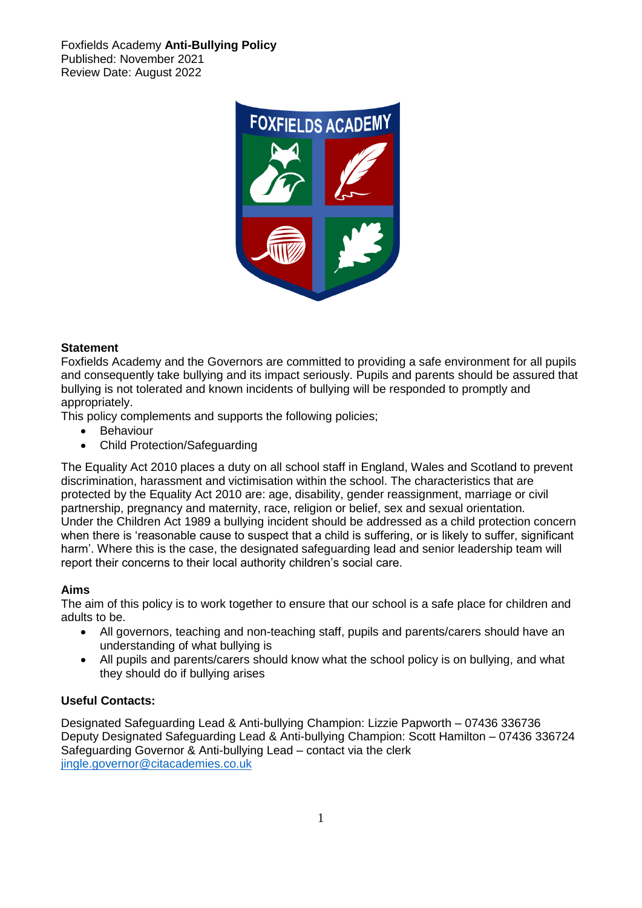Foxfields Academy **Anti-Bullying Policy** Published: November 2021 Review Date: August 2022



#### **Statement**

Foxfields Academy and the Governors are committed to providing a safe environment for all pupils and consequently take bullying and its impact seriously. Pupils and parents should be assured that bullying is not tolerated and known incidents of bullying will be responded to promptly and appropriately.

This policy complements and supports the following policies;

- Behaviour
- Child Protection/Safeguarding

The Equality Act 2010 places a duty on all school staff in England, Wales and Scotland to prevent discrimination, harassment and victimisation within the school. The characteristics that are protected by the Equality Act 2010 are: age, disability, gender reassignment, marriage or civil partnership, pregnancy and maternity, race, religion or belief, sex and sexual orientation. Under the Children Act 1989 a bullying incident should be addressed as a child protection concern when there is 'reasonable cause to suspect that a child is suffering, or is likely to suffer, significant harm'. Where this is the case, the designated safeguarding lead and senior leadership team will report their concerns to their local authority children's social care.

#### **Aims**

The aim of this policy is to work together to ensure that our school is a safe place for children and adults to be.

- All governors, teaching and non-teaching staff, pupils and parents/carers should have an understanding of what bullying is
- All pupils and parents/carers should know what the school policy is on bullying, and what they should do if bullying arises

#### **Useful Contacts:**

Designated Safeguarding Lead & Anti-bullying Champion: Lizzie Papworth – 07436 336736 Deputy Designated Safeguarding Lead & Anti-bullying Champion: Scott Hamilton – 07436 336724 Safeguarding Governor & Anti-bullying Lead – contact via the clerk [jingle.governor@citacademies.co.uk](mailto:jingle.governor@citacademies.co.uk)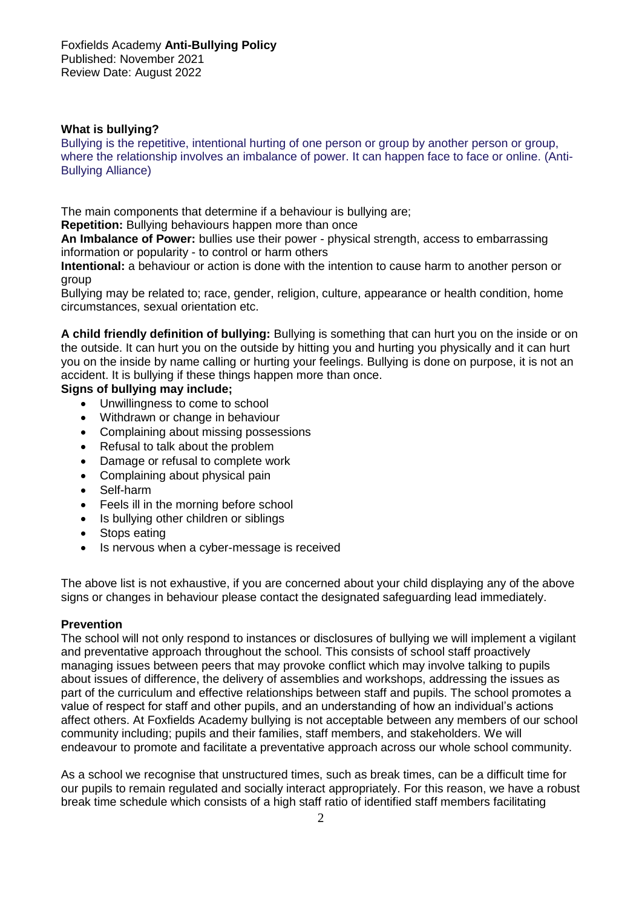## **What is bullying?**

Bullying is the repetitive, intentional hurting of one person or group by another person or group, where the relationship involves an imbalance of power. It can happen face to face or online. (Anti-Bullying Alliance)

The main components that determine if a behaviour is bullying are;

**Repetition:** Bullying behaviours happen more than once

**An Imbalance of Power:** bullies use their power - physical strength, access to embarrassing information or popularity - to control or harm others

**Intentional:** a behaviour or action is done with the intention to cause harm to another person or group

Bullying may be related to; race, gender, religion, culture, appearance or health condition, home circumstances, sexual orientation etc.

**A child friendly definition of bullying:** Bullying is something that can hurt you on the inside or on the outside. It can hurt you on the outside by hitting you and hurting you physically and it can hurt you on the inside by name calling or hurting your feelings. Bullying is done on purpose, it is not an accident. It is bullying if these things happen more than once.

## **Signs of bullying may include;**

- Unwillingness to come to school
- Withdrawn or change in behaviour
- Complaining about missing possessions
- Refusal to talk about the problem
- Damage or refusal to complete work
- Complaining about physical pain
- Self-harm
- Feels ill in the morning before school
- Is bullying other children or siblings
- Stops eating
- Is nervous when a cyber-message is received

The above list is not exhaustive, if you are concerned about your child displaying any of the above signs or changes in behaviour please contact the designated safeguarding lead immediately.

#### **Prevention**

The school will not only respond to instances or disclosures of bullying we will implement a vigilant and preventative approach throughout the school. This consists of school staff proactively managing issues between peers that may provoke conflict which may involve talking to pupils about issues of difference, the delivery of assemblies and workshops, addressing the issues as part of the curriculum and effective relationships between staff and pupils. The school promotes a value of respect for staff and other pupils, and an understanding of how an individual's actions affect others. At Foxfields Academy bullying is not acceptable between any members of our school community including; pupils and their families, staff members, and stakeholders. We will endeavour to promote and facilitate a preventative approach across our whole school community.

As a school we recognise that unstructured times, such as break times, can be a difficult time for our pupils to remain regulated and socially interact appropriately. For this reason, we have a robust break time schedule which consists of a high staff ratio of identified staff members facilitating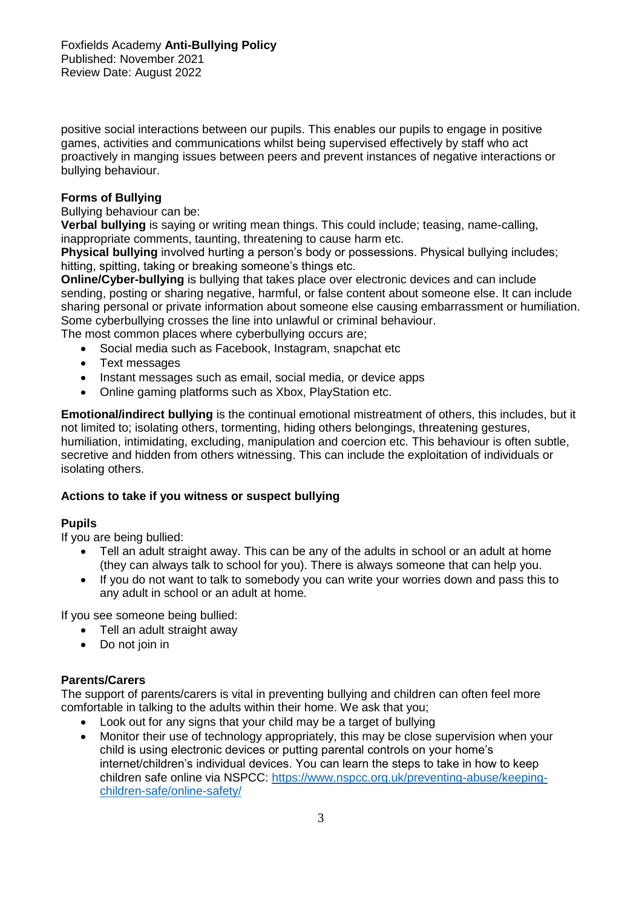positive social interactions between our pupils. This enables our pupils to engage in positive games, activities and communications whilst being supervised effectively by staff who act proactively in manging issues between peers and prevent instances of negative interactions or bullying behaviour.

# **Forms of Bullying**

Bullying behaviour can be:

**Verbal bullying** is saying or writing mean things. This could include; teasing, name-calling, inappropriate comments, taunting, threatening to cause harm etc.

**Physical bullying** involved hurting a person's body or possessions. Physical bullying includes; hitting, spitting, taking or breaking someone's things etc.

**Online/Cyber-bullying** is bullying that takes place over electronic devices and can include sending, posting or sharing negative, harmful, or false content about someone else. It can include sharing personal or private information about someone else causing embarrassment or humiliation. Some cyberbullying crosses the line into unlawful or criminal behaviour.

The most common places where cyberbullying occurs are;

- Social media such as Facebook, Instagram, snapchat etc
- Text messages
- Instant messages such as email, social media, or device apps
- Online gaming platforms such as Xbox, PlayStation etc.

**Emotional/indirect bullying** is the continual emotional mistreatment of others, this includes, but it not limited to; isolating others, tormenting, hiding others belongings, threatening gestures, humiliation, intimidating, excluding, manipulation and coercion etc. This behaviour is often subtle, secretive and hidden from others witnessing. This can include the exploitation of individuals or isolating others.

## **Actions to take if you witness or suspect bullying**

## **Pupils**

If you are being bullied:

- Tell an adult straight away. This can be any of the adults in school or an adult at home (they can always talk to school for you). There is always someone that can help you.
- If you do not want to talk to somebody you can write your worries down and pass this to any adult in school or an adult at home.

If you see someone being bullied:

- Tell an adult straight away
- Do not join in

## **Parents/Carers**

The support of parents/carers is vital in preventing bullying and children can often feel more comfortable in talking to the adults within their home. We ask that you;

- Look out for any signs that your child may be a target of bullying
- Monitor their use of technology appropriately, this may be close supervision when your child is using electronic devices or putting parental controls on your home's internet/children's individual devices. You can learn the steps to take in how to keep children safe online via NSPCC: [https://www.nspcc.org.uk/preventing-abuse/keeping](https://www.nspcc.org.uk/preventing-abuse/keeping-children-safe/online-safety/)[children-safe/online-safety/](https://www.nspcc.org.uk/preventing-abuse/keeping-children-safe/online-safety/)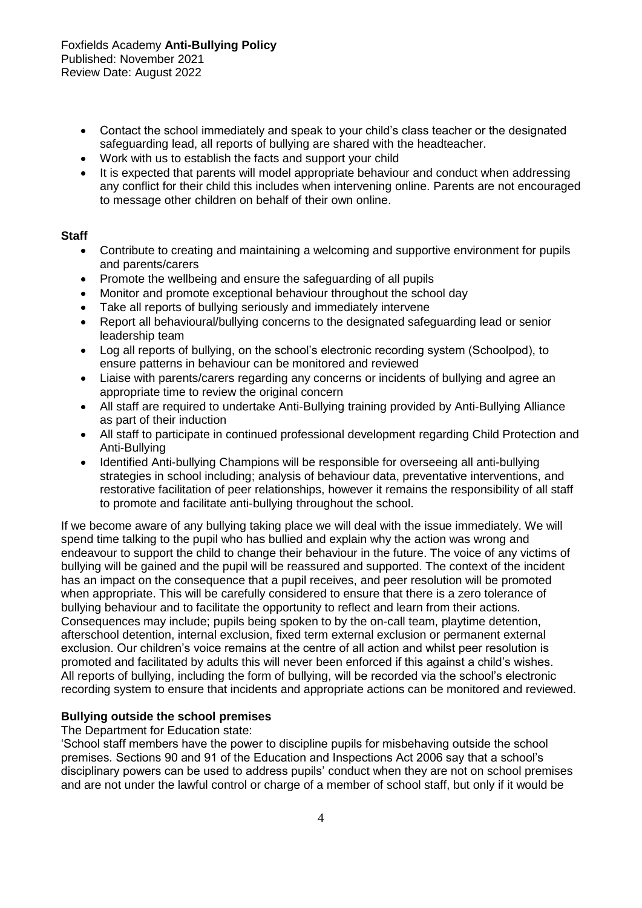- Contact the school immediately and speak to your child's class teacher or the designated safeguarding lead, all reports of bullying are shared with the headteacher.
- Work with us to establish the facts and support your child
- It is expected that parents will model appropriate behaviour and conduct when addressing any conflict for their child this includes when intervening online. Parents are not encouraged to message other children on behalf of their own online.

#### **Staff**

- Contribute to creating and maintaining a welcoming and supportive environment for pupils and parents/carers
- Promote the wellbeing and ensure the safeguarding of all pupils
- Monitor and promote exceptional behaviour throughout the school day
- Take all reports of bullying seriously and immediately intervene
- Report all behavioural/bullying concerns to the designated safeguarding lead or senior leadership team
- Log all reports of bullying, on the school's electronic recording system (Schoolpod), to ensure patterns in behaviour can be monitored and reviewed
- Liaise with parents/carers regarding any concerns or incidents of bullying and agree an appropriate time to review the original concern
- All staff are required to undertake Anti-Bullying training provided by Anti-Bullying Alliance as part of their induction
- All staff to participate in continued professional development regarding Child Protection and Anti-Bullying
- Identified Anti-bullying Champions will be responsible for overseeing all anti-bullying strategies in school including; analysis of behaviour data, preventative interventions, and restorative facilitation of peer relationships, however it remains the responsibility of all staff to promote and facilitate anti-bullying throughout the school.

If we become aware of any bullying taking place we will deal with the issue immediately. We will spend time talking to the pupil who has bullied and explain why the action was wrong and endeavour to support the child to change their behaviour in the future. The voice of any victims of bullying will be gained and the pupil will be reassured and supported. The context of the incident has an impact on the consequence that a pupil receives, and peer resolution will be promoted when appropriate. This will be carefully considered to ensure that there is a zero tolerance of bullying behaviour and to facilitate the opportunity to reflect and learn from their actions. Consequences may include; pupils being spoken to by the on-call team, playtime detention, afterschool detention, internal exclusion, fixed term external exclusion or permanent external exclusion. Our children's voice remains at the centre of all action and whilst peer resolution is promoted and facilitated by adults this will never been enforced if this against a child's wishes. All reports of bullying, including the form of bullying, will be recorded via the school's electronic recording system to ensure that incidents and appropriate actions can be monitored and reviewed.

#### **Bullying outside the school premises**

The Department for Education state:

'School staff members have the power to discipline pupils for misbehaving outside the school premises. Sections 90 and 91 of the Education and Inspections Act 2006 say that a school's disciplinary powers can be used to address pupils' conduct when they are not on school premises and are not under the lawful control or charge of a member of school staff, but only if it would be